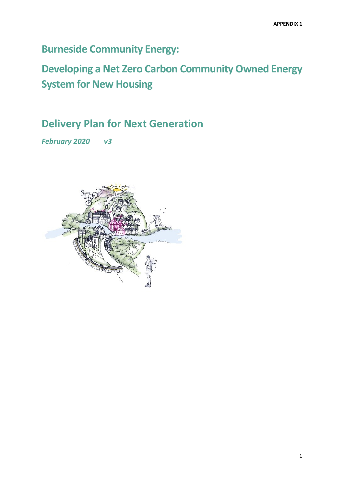**Burneside Community Energy:** 

**Developing a Net Zero Carbon Community Owned Energy System for New Housing**

**Delivery Plan for Next Generation**

*February 2020 v3*

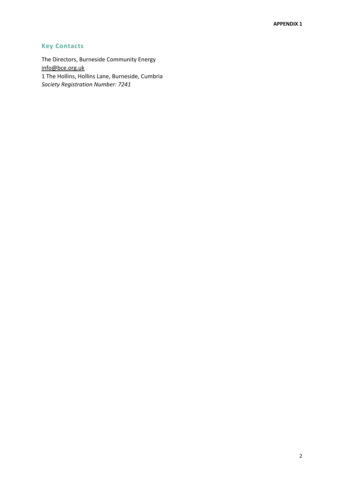## **Key Contacts**

The Directors, Burneside Community Energy [info@bce.org.uk](mailto:toneoldbone@gmail.com) 1 The Hollins, Hollins Lane, Burneside, Cumbria *Society Registration Number: 7241*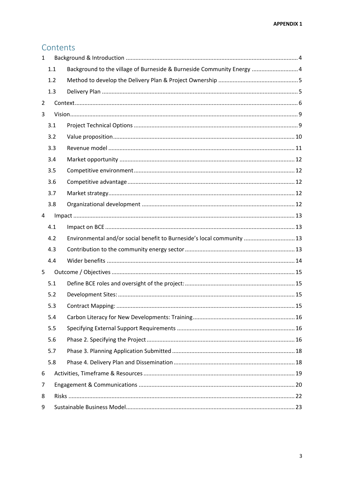# Contents

| $\mathbf{1}$ |     |                                                                        |  |  |  |  |  |
|--------------|-----|------------------------------------------------------------------------|--|--|--|--|--|
|              | 1.1 | Background to the village of Burneside & Burneside Community Energy 4  |  |  |  |  |  |
|              | 1.2 |                                                                        |  |  |  |  |  |
|              | 1.3 |                                                                        |  |  |  |  |  |
| 2            |     |                                                                        |  |  |  |  |  |
| 3            |     |                                                                        |  |  |  |  |  |
|              | 3.1 |                                                                        |  |  |  |  |  |
|              | 3.2 |                                                                        |  |  |  |  |  |
|              | 3.3 |                                                                        |  |  |  |  |  |
|              | 3.4 |                                                                        |  |  |  |  |  |
|              | 3.5 |                                                                        |  |  |  |  |  |
|              | 3.6 |                                                                        |  |  |  |  |  |
|              | 3.7 |                                                                        |  |  |  |  |  |
|              | 3.8 |                                                                        |  |  |  |  |  |
| 4            |     |                                                                        |  |  |  |  |  |
|              | 4.1 |                                                                        |  |  |  |  |  |
|              | 4.2 | Environmental and/or social benefit to Burneside's local community  13 |  |  |  |  |  |
|              | 4.3 |                                                                        |  |  |  |  |  |
|              | 4.4 |                                                                        |  |  |  |  |  |
| 5            |     |                                                                        |  |  |  |  |  |
|              | 5.1 |                                                                        |  |  |  |  |  |
|              | 5.2 |                                                                        |  |  |  |  |  |
|              | 5.3 |                                                                        |  |  |  |  |  |
|              | 5.4 |                                                                        |  |  |  |  |  |
|              | 5.5 |                                                                        |  |  |  |  |  |
|              | 5.6 |                                                                        |  |  |  |  |  |
|              | 5.7 |                                                                        |  |  |  |  |  |
|              | 5.8 |                                                                        |  |  |  |  |  |
| 6            |     |                                                                        |  |  |  |  |  |
| 7            |     |                                                                        |  |  |  |  |  |
| 8            |     |                                                                        |  |  |  |  |  |
| 9            |     |                                                                        |  |  |  |  |  |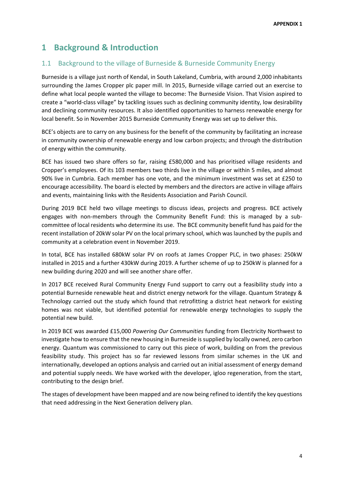# <span id="page-3-0"></span>**1 Background & Introduction**

## <span id="page-3-1"></span>1.1 Background to the village of Burneside & Burneside Community Energy

Burneside is a village just north of Kendal, in South Lakeland, Cumbria, with around 2,000 inhabitants surrounding the James Cropper plc paper mill. In 2015, Burneside village carried out an exercise to define what local people wanted the village to become: The Burneside Vision. That Vision aspired to create a "world-class village" by tackling issues such as declining community identity, low desirability and declining community resources. It also identified opportunities to harness renewable energy for local benefit. So in November 2015 Burneside Community Energy was set up to deliver this.

BCE's objects are to carry on any business for the benefit of the community by facilitating an increase in community ownership of renewable energy and low carbon projects; and through the distribution of energy within the community.

BCE has issued two share offers so far, raising £580,000 and has prioritised village residents and Cropper's employees. Of its 103 members two thirds live in the village or within 5 miles, and almost 90% live in Cumbria. Each member has one vote, and the minimum investment was set at £250 to encourage accessibility. The board is elected by members and the directors are active in village affairs and events, maintaining links with the Residents Association and Parish Council.

During 2019 BCE held two village meetings to discuss ideas, projects and progress. BCE actively engages with non-members through the Community Benefit Fund: this is managed by a subcommittee of local residents who determine its use. The BCE community benefit fund has paid for the recent installation of 20kW solar PV on the local primary school, which was launched by the pupils and community at a celebration event in November 2019.

In total, BCE has installed 680kW solar PV on roofs at James Cropper PLC, in two phases: 250kW installed in 2015 and a further 430kW during 2019. A further scheme of up to 250kW is planned for a new building during 2020 and will see another share offer.

In 2017 BCE received Rural Community Energy Fund support to carry out a feasibility study into a potential Burneside renewable heat and district energy network for the village. Quantum Strategy & Technology carried out the study which found that retrofitting a district heat network for existing homes was not viable, but identified potential for renewable energy technologies to supply the potential new build.

In 2019 BCE was awarded £15,000 *Powering Our Communities* funding from Electricity Northwest to investigate how to ensure that the new housing in Burneside is supplied by locally owned, zero carbon energy. Quantum was commissioned to carry out this piece of work, building on from the previous feasibility study. This project has so far reviewed lessons from similar schemes in the UK and internationally, developed an options analysis and carried out an initial assessment of energy demand and potential supply needs. We have worked with the developer, igloo regeneration, from the start, contributing to the design brief.

The stages of development have been mapped and are now being refined to identify the key questions that need addressing in the Next Generation delivery plan.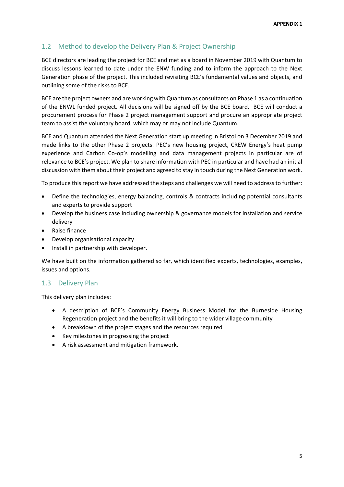## <span id="page-4-0"></span>1.2 Method to develop the Delivery Plan & Project Ownership

BCE directors are leading the project for BCE and met as a board in November 2019 with Quantum to discuss lessons learned to date under the ENW funding and to inform the approach to the Next Generation phase of the project. This included revisiting BCE's fundamental values and objects, and outlining some of the risks to BCE.

BCE are the project owners and are working with Quantum as consultants on Phase 1 as a continuation of the ENWL funded project. All decisions will be signed off by the BCE board. BCE will conduct a procurement process for Phase 2 project management support and procure an appropriate project team to assist the voluntary board, which may or may not include Quantum.

BCE and Quantum attended the Next Generation start up meeting in Bristol on 3 December 2019 and made links to the other Phase 2 projects. PEC's new housing project, CREW Energy's heat pump experience and Carbon Co-op's modelling and data management projects in particular are of relevance to BCE's project. We plan to share information with PEC in particular and have had an initial discussion with them about their project and agreed to stay in touch during the Next Generation work.

To produce this report we have addressed the steps and challenges we will need to address to further:

- Define the technologies, energy balancing, controls & contracts including potential consultants and experts to provide support
- Develop the business case including ownership & governance models for installation and service delivery
- Raise finance
- Develop organisational capacity
- Install in partnership with developer.

We have built on the information gathered so far, which identified experts, technologies, examples, issues and options.

## <span id="page-4-1"></span>1.3 Delivery Plan

This delivery plan includes:

- A description of BCE's Community Energy Business Model for the Burneside Housing Regeneration project and the benefits it will bring to the wider village community
- A breakdown of the project stages and the resources required
- Key milestones in progressing the project
- A risk assessment and mitigation framework.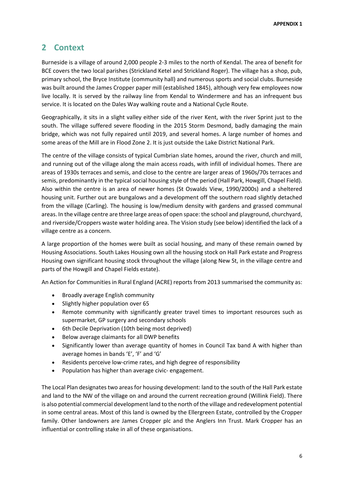# <span id="page-5-0"></span>**2 Context**

Burneside is a village of around 2,000 people 2-3 miles to the north of Kendal. The area of benefit for BCE covers the two local parishes (Strickland Ketel and Strickland Roger). The village has a shop, pub, primary school, the Bryce Institute (community hall) and numerous sports and social clubs. Burneside was built around the James Cropper paper mill (established 1845), although very few employees now live locally. It is served by the railway line from Kendal to Windermere and has an infrequent bus service. It is located on the Dales Way walking route and a National Cycle Route.

Geographically, it sits in a slight valley either side of the river Kent, with the river Sprint just to the south. The village suffered severe flooding in the 2015 Storm Desmond, badly damaging the main bridge, which was not fully repaired until 2019, and several homes. A large number of homes and some areas of the Mill are in Flood Zone 2. It is just outside the Lake District National Park.

The centre of the village consists of typical Cumbrian slate homes, around the river, church and mill, and running out of the village along the main access roads, with infill of individual homes. There are areas of 1930s terraces and semis, and close to the centre are larger areas of 1960s/70s terraces and semis, predominantly in the typical social housing style of the period (Hall Park, Howgill, Chapel Field). Also within the centre is an area of newer homes (St Oswalds View, 1990/2000s) and a sheltered housing unit. Further out are bungalows and a development off the southern road slightly detached from the village (Carling). The housing is low/medium density with gardens and grassed communal areas. In the village centre are three large areas of open space: the school and playground, churchyard, and riverside/Croppers waste water holding area. The Vision study (see below) identified the lack of a village centre as a concern.

A large proportion of the homes were built as social housing, and many of these remain owned by Housing Associations. South Lakes Housing own all the housing stock on Hall Park estate and Progress Housing own significant housing stock throughout the village (along New St, in the village centre and parts of the Howgill and Chapel Fields estate).

An Action for Communities in Rural England (ACRE) reports from 2013 summarised the community as:

- Broadly average English community
- Slightly higher population over 65
- Remote community with significantly greater travel times to important resources such as supermarket, GP surgery and secondary schools
- 6th Decile Deprivation (10th being most deprived)
- Below average claimants for all DWP benefits
- Significantly lower than average quantity of homes in Council Tax band A with higher than average homes in bands 'E', 'F' and 'G'
- Residents perceive low-crime rates, and high degree of responsibility
- Population has higher than average civic- engagement.

The Local Plan designates two areas for housing development: land to the south of the Hall Park estate and land to the NW of the village on and around the current recreation ground (Willink Field). There is also potential commercial development land to the north of the village and redevelopment potential in some central areas. Most of this land is owned by the Ellergreen Estate, controlled by the Cropper family. Other landowners are James Cropper plc and the Anglers Inn Trust. Mark Cropper has an influential or controlling stake in all of these organisations.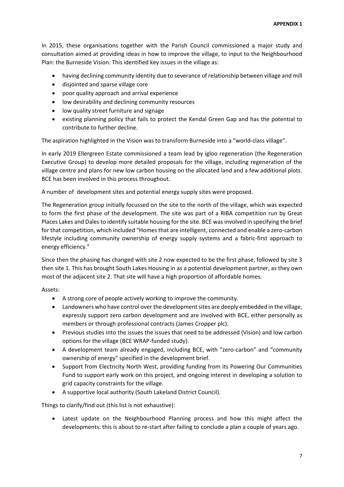In 2015, these organisations together with the Parish Council commissioned a major study and consultation aimed at providing ideas in how to improve the village, to input to the Neighbourhood Plan: the Burneside Vision. This identified key issues in the village as:

- having declining community identity due to severance of relationship between village and mill
- disjointed and sparse village core
- poor quality approach and arrival experience
- low desirability and declining community resources
- low quality street furniture and signage
- existing planning policy that fails to protect the Kendal Green Gap and has the potential to contribute to further decline.

The aspiration highlighted in the Vision was to transform Burneside into a "world-class village".

In early 2019 Ellergreen Estate commissioned a team lead by igloo regeneration (the Regeneration Executive Group) to develop more detailed proposals for the village, including regeneration of the village centre and plans for new low carbon housing on the allocated land and a few additional plots. BCE has been involved in this process throughout.

A number of development sites and potential energy supply sites were proposed.

The Regeneration group initially focussed on the site to the north of the village, which was expected to form the first phase of the development. The site was part of a RIBA competition run by Great Places Lakes and Dales to identify suitable housing for the site. BCE was involved in specifying the brief for that competition, which included "Homes that are intelligent, connected and enable a zero-carbon lifestyle including community ownership of energy supply systems and a fabric-first approach to energy efficiency."

Since then the phasing has changed with site 2 now expected to be the first phase, followed by site 3 then site 1. This has brought South Lakes Housing in as a potential development partner, as they own most of the adjacent site 2. That site will have a high proportion of affordable homes.

Assets:

- A strong core of people actively working to improve the community.
- Landowners who have control over the development sites are deeply embedded in the village, expressly support zero carbon development and are involved with BCE, either personally as members or through professional contracts (James Cropper plc).
- Previous studies into the issues the issues that need to be addressed (Vision) and low carbon options for the village (BCE WRAP-funded study).
- A development team already engaged, including BCE, with "zero-carbon" and "community ownership of energy" specified in the development brief.
- Support from Electricity North West, providing funding from its Powering Our Communities Fund to support early work on this project, and ongoing interest in developing a solution to grid capacity constraints for the village.
- A supportive local authority (South Lakeland District Council).

Things to clarify/find out (this list is not exhaustive):

• Latest update on the Neighbourhood Planning process and how this might affect the developments: this is about to re-start after failing to conclude a plan a couple of years ago.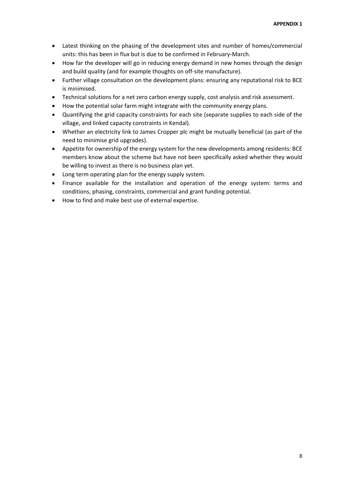- Latest thinking on the phasing of the development sites and number of homes/commercial units: this has been in flux but is due to be confirmed in February-March.
- How far the developer will go in reducing energy demand in new homes through the design and build quality (and for example thoughts on off-site manufacture).
- Further village consultation on the development plans: ensuring any reputational risk to BCE is minimised.
- Technical solutions for a net zero carbon energy supply, cost analysis and risk assessment.
- How the potential solar farm might integrate with the community energy plans.
- Quantifying the grid capacity constraints for each site (separate supplies to each side of the village, and linked capacity constraints in Kendal).
- Whether an electricity link to James Cropper plc might be mutually beneficial (as part of the need to minimise grid upgrades).
- Appetite for ownership of the energy system for the new developments among residents: BCE members know about the scheme but have not been specifically asked whether they would be willing to invest as there is no business plan yet.
- Long term operating plan for the energy supply system.
- Finance available for the installation and operation of the energy system: terms and conditions, phasing, constraints, commercial and grant funding potential.
- How to find and make best use of external expertise.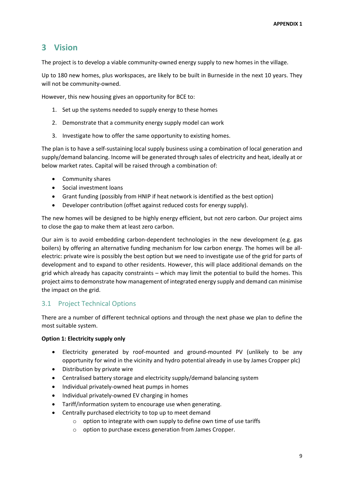# <span id="page-8-0"></span>**3 Vision**

The project is to develop a viable community-owned energy supply to new homes in the village.

Up to 180 new homes, plus workspaces, are likely to be built in Burneside in the next 10 years. They will not be community-owned.

However, this new housing gives an opportunity for BCE to:

- 1. Set up the systems needed to supply energy to these homes
- 2. Demonstrate that a community energy supply model can work
- 3. Investigate how to offer the same opportunity to existing homes.

The plan is to have a self-sustaining local supply business using a combination of local generation and supply/demand balancing. Income will be generated through sales of electricity and heat, ideally at or below market rates. Capital will be raised through a combination of:

- Community shares
- Social investment loans
- Grant funding (possibly from HNIP if heat network is identified as the best option)
- Developer contribution (offset against reduced costs for energy supply).

The new homes will be designed to be highly energy efficient, but not zero carbon. Our project aims to close the gap to make them at least zero carbon.

Our aim is to avoid embedding carbon-dependent technologies in the new development (e.g. gas boilers) by offering an alternative funding mechanism for low carbon energy. The homes will be allelectric: private wire is possibly the best option but we need to investigate use of the grid for parts of development and to expand to other residents. However, this will place additional demands on the grid which already has capacity constraints – which may limit the potential to build the homes. This project aims to demonstrate how management of integrated energy supply and demand can minimise the impact on the grid.

## <span id="page-8-1"></span>3.1 Project Technical Options

There are a number of different technical options and through the next phase we plan to define the most suitable system.

#### **Option 1: Electricity supply only**

- Electricity generated by roof-mounted and ground-mounted PV (unlikely to be any opportunity for wind in the vicinity and hydro potential already in use by James Cropper plc)
- Distribution by private wire
- Centralised battery storage and electricity supply/demand balancing system
- Individual privately-owned heat pumps in homes
- Individual privately-owned EV charging in homes
- Tariff/information system to encourage use when generating.
- Centrally purchased electricity to top up to meet demand
	- o option to integrate with own supply to define own time of use tariffs
	- o option to purchase excess generation from James Cropper.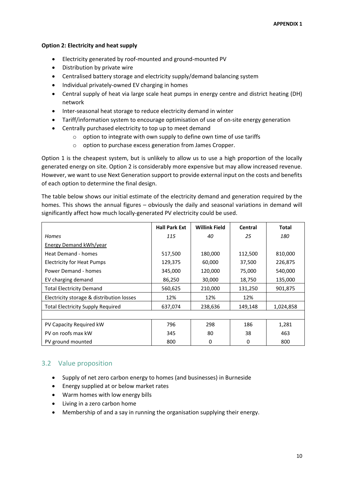#### **Option 2: Electricity and heat supply**

- Electricity generated by roof-mounted and ground-mounted PV
- Distribution by private wire
- Centralised battery storage and electricity supply/demand balancing system
- Individual privately-owned EV charging in homes
- Central supply of heat via large scale heat pumps in energy centre and district heating (DH) network
- Inter-seasonal heat storage to reduce electricity demand in winter
- Tariff/information system to encourage optimisation of use of on-site energy generation
- Centrally purchased electricity to top up to meet demand
	- $\circ$  option to integrate with own supply to define own time of use tariffs
	- o option to purchase excess generation from James Cropper.

Option 1 is the cheapest system, but is unlikely to allow us to use a high proportion of the locally generated energy on site. Option 2 is considerably more expensive but may allow increased revenue. However, we want to use Next Generation support to provide external input on the costs and benefits of each option to determine the final design.

The table below shows our initial estimate of the electricity demand and generation required by the homes. This shows the annual figures – obviously the daily and seasonal variations in demand will significantly affect how much locally-generated PV electricity could be used.

|                                           | <b>Hall Park Ext</b> | <b>Willink Field</b> | Central | <b>Total</b> |
|-------------------------------------------|----------------------|----------------------|---------|--------------|
| <b>Homes</b>                              | 115                  | 40                   | 25      | 180          |
| <b>Energy Demand kWh/year</b>             |                      |                      |         |              |
| <b>Heat Demand - homes</b>                | 517,500              | 180,000              | 112,500 | 810,000      |
| <b>Electricity for Heat Pumps</b>         | 129,375              | 60,000               | 37,500  | 226,875      |
| Power Demand - homes                      | 345,000              | 120,000              | 75,000  | 540,000      |
| EV charging demand                        | 86,250               | 30,000               | 18,750  | 135,000      |
| <b>Total Electricity Demand</b>           | 560,625              | 210,000              | 131,250 | 901,875      |
| Electricity storage & distribution losses | 12%                  | 12%                  | 12%     |              |
| <b>Total Electricity Supply Required</b>  | 637,074              | 238,636              | 149,148 | 1,024,858    |
|                                           |                      |                      |         |              |
| PV Capacity Required kW                   | 796                  | 298                  | 186     | 1,281        |
| PV on roofs max kW                        | 345                  | 80                   | 38      | 463          |
| PV ground mounted                         | 800                  | 0                    | 0       | 800          |

## <span id="page-9-0"></span>3.2 Value proposition

- Supply of net zero carbon energy to homes (and businesses) in Burneside
- Energy supplied at or below market rates
- Warm homes with low energy bills
- Living in a zero carbon home
- Membership of and a say in running the organisation supplying their energy.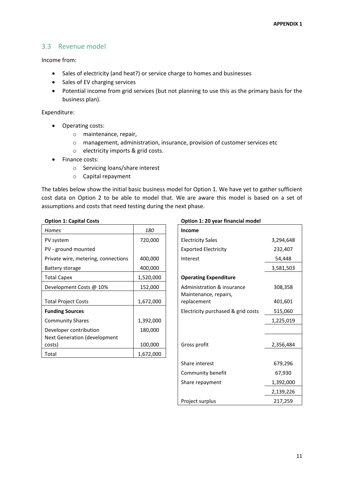#### <span id="page-10-0"></span>3.3 Revenue model

Income from:

- Sales of electricity (and heat?) or service charge to homes and businesses
- Sales of EV charging services
- Potential income from grid services (but not planning to use this as the primary basis for the business plan).

Expenditure:

- Operating costs:
	- o maintenance, repair,
	- o management, administration, insurance, provision of customer services etc
	- o electricity imports & grid costs.
- Finance costs:
	- o Servicing loans/share interest
	- o Capital repayment

The tables below show the initial basic business model for Option 1. We have yet to gather sufficient cost data on Option 2 to be able to model that. We are aware this model is based on a set of assumptions and costs that need testing during the next phase.

|  | <b>Option 1: Capital Costs</b> |  |
|--|--------------------------------|--|
|  |                                |  |

| <b>Homes</b>                        | 180       | <b>Income</b>                      |           |  |
|-------------------------------------|-----------|------------------------------------|-----------|--|
| PV system                           | 720,000   | <b>Electricity Sales</b>           | 3,294,648 |  |
| PV - ground mounted                 |           | <b>Exported Electricity</b>        | 232,407   |  |
| Private wire, metering, connections | 400,000   | Interest                           | 54,448    |  |
| Battery storage                     | 400,000   |                                    | 3,581,503 |  |
| <b>Total Capex</b>                  | 1,520,000 | <b>Operating Expenditure</b>       |           |  |
| Development Costs @ 10%             | 152,000   | Administration & insurance         | 308,358   |  |
|                                     |           | Maintenance, repairs,              |           |  |
| <b>Total Project Costs</b>          | 1,672,000 | replacement                        | 401,601   |  |
| <b>Funding Sources</b>              |           | Electricity purchased & grid costs | 515,060   |  |
| <b>Community Shares</b>             | 1,392,000 |                                    | 1,225,019 |  |
| Developer contribution              | 180,000   |                                    |           |  |
| Next Generation (development        |           |                                    |           |  |
| costs)                              | 100,000   | Gross profit                       | 2,356,484 |  |
| Total                               | 1,672,000 |                                    |           |  |

#### **Option 1: 20 year financial model**

| Income                                              |           |
|-----------------------------------------------------|-----------|
| <b>Electricity Sales</b>                            | 3,294,648 |
| <b>Exported Electricity</b>                         | 232,407   |
| Interest                                            | 54,448    |
|                                                     | 3,581,503 |
| <b>Operating Expenditure</b>                        |           |
| Administration & insurance<br>Maintenance, repairs, | 308,358   |
| replacement                                         | 401,601   |
| Electricity purchased & grid costs                  | 515,060   |
|                                                     | 1,225,019 |
|                                                     |           |
| Gross profit                                        | 2,356,484 |
|                                                     |           |
| Share interest                                      | 679,296   |
| Community benefit                                   | 67,930    |
| Share repayment                                     | 1,392,000 |
|                                                     | 2,139,226 |
| Project surplus                                     | 217,259   |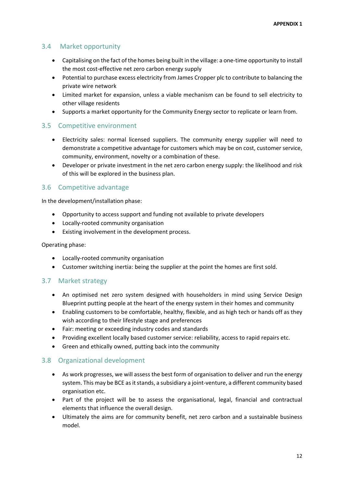## 3.4 Market opportunity

- <span id="page-11-0"></span>• Capitalising on the fact of the homes being built in the village: a one-time opportunity to install the most cost-effective net zero carbon energy supply
- Potential to purchase excess electricity from James Cropper plc to contribute to balancing the private wire network
- Limited market for expansion, unless a viable mechanism can be found to sell electricity to other village residents
- Supports a market opportunity for the Community Energy sector to replicate or learn from.

#### <span id="page-11-1"></span>3.5 Competitive environment

- Electricity sales: normal licensed suppliers. The community energy supplier will need to demonstrate a competitive advantage for customers which may be on cost, customer service, community, environment, novelty or a combination of these.
- Developer or private investment in the net zero carbon energy supply: the likelihood and risk of this will be explored in the business plan.

#### <span id="page-11-2"></span>3.6 Competitive advantage

In the development/installation phase:

- Opportunity to access support and funding not available to private developers
- Locally-rooted community organisation
- Existing involvement in the development process.

#### Operating phase:

- Locally-rooted community organisation
- Customer switching inertia: being the supplier at the point the homes are first sold.

#### <span id="page-11-3"></span>3.7 Market strategy

- An optimised net zero system designed with householders in mind using Service Design Blueprint putting people at the heart of the energy system in their homes and community
- Enabling customers to be comfortable, healthy, flexible, and as high tech or hands off as they wish according to their lifestyle stage and preferences
- Fair: meeting or exceeding industry codes and standards
- Providing excellent locally based customer service: reliability, access to rapid repairs etc.
- Green and ethically owned, putting back into the community

#### <span id="page-11-4"></span>3.8 Organizational development

- As work progresses, we will assess the best form of organisation to deliver and run the energy system. This may be BCE as it stands, a subsidiary a joint-venture, a different community based organisation etc.
- Part of the project will be to assess the organisational, legal, financial and contractual elements that influence the overall design.
- Ultimately the aims are for community benefit, net zero carbon and a sustainable business model.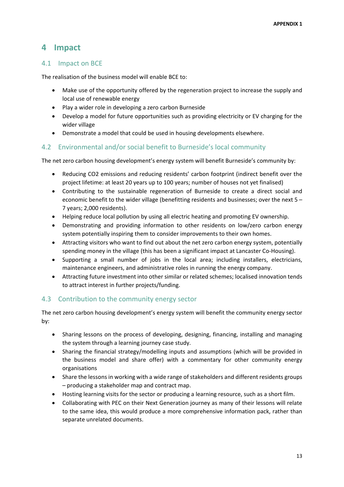## <span id="page-12-0"></span>**4 Impact**

#### <span id="page-12-1"></span>4.1 Impact on BCE

The realisation of the business model will enable BCE to:

- Make use of the opportunity offered by the regeneration project to increase the supply and local use of renewable energy
- Play a wider role in developing a zero carbon Burneside
- Develop a model for future opportunities such as providing electricity or EV charging for the wider village
- Demonstrate a model that could be used in housing developments elsewhere.

#### <span id="page-12-2"></span>4.2 Environmental and/or social benefit to Burneside's local community

The net zero carbon housing development's energy system will benefit Burneside's community by:

- Reducing CO2 emissions and reducing residents' carbon footprint (indirect benefit over the project lifetime: at least 20 years up to 100 years; number of houses not yet finalised)
- Contributing to the sustainable regeneration of Burneside to create a direct social and economic benefit to the wider village (benefitting residents and businesses; over the next 5 – 7 years; 2,000 residents).
- Helping reduce local pollution by using all electric heating and promoting EV ownership.
- Demonstrating and providing information to other residents on low/zero carbon energy system potentially inspiring them to consider improvements to their own homes.
- Attracting visitors who want to find out about the net zero carbon energy system, potentially spending money in the village (this has been a significant impact at Lancaster Co-Housing).
- Supporting a small number of jobs in the local area; including installers, electricians, maintenance engineers, and administrative roles in running the energy company.
- Attracting future investment into other similar or related schemes; localised innovation tends to attract interest in further projects/funding.

## <span id="page-12-3"></span>4.3 Contribution to the community energy sector

The net zero carbon housing development's energy system will benefit the community energy sector by:

- Sharing lessons on the process of developing, designing, financing, installing and managing the system through a learning journey case study.
- Sharing the financial strategy/modelling inputs and assumptions (which will be provided in the business model and share offer) with a commentary for other community energy organisations
- Share the lessons in working with a wide range of stakeholders and different residents groups – producing a stakeholder map and contract map.
- Hosting learning visits for the sector or producing a learning resource, such as a short film.
- Collaborating with PEC on their Next Generation journey as many of their lessons will relate to the same idea, this would produce a more comprehensive information pack, rather than separate unrelated documents.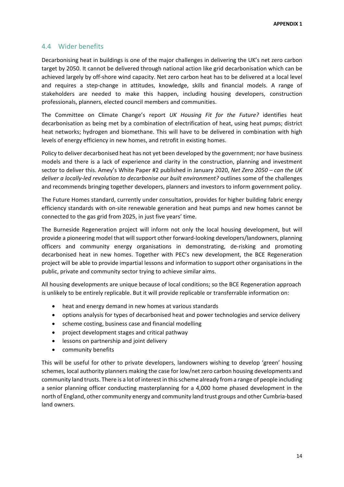#### <span id="page-13-0"></span>4.4 Wider benefits

Decarbonising heat in buildings is one of the major challenges in delivering the UK's net zero carbon target by 2050. It cannot be delivered through national action like grid decarbonisation which can be achieved largely by off-shore wind capacity. Net zero carbon heat has to be delivered at a local level and requires a step-change in attitudes, knowledge, skills and financial models. A range of stakeholders are needed to make this happen, including housing developers, construction professionals, planners, elected council members and communities.

The Committee on Climate Change's report *UK Housing Fit for the Future?* identifies heat decarbonisation as being met by a combination of electrification of heat, using heat pumps; district heat networks; hydrogen and biomethane. This will have to be delivered in combination with high levels of energy efficiency in new homes, and retrofit in existing homes.

Policy to deliver decarbonised heat has not yet been developed by the government; nor have business models and there is a lack of experience and clarity in the construction, planning and investment sector to deliver this. Amey's White Paper #2 published in January 2020, *Net Zero 2050 – can the UK deliver a locally-led revolution to decarbonise our built environment?* outlines some of the challenges and recommends bringing together developers, planners and investors to inform government policy.

The Future Homes standard, currently under consultation, provides for higher building fabric energy efficiency standards with on-site renewable generation and heat pumps and new homes cannot be connected to the gas grid from 2025, in just five years' time.

The Burneside Regeneration project will inform not only the local housing development, but will provide a pioneering model that will support other forward-looking developers/landowners, planning officers and community energy organisations in demonstrating, de-risking and promoting decarbonised heat in new homes. Together with PEC's new development, the BCE Regeneration project will be able to provide impartial lessons and information to support other organisations in the public, private and community sector trying to achieve similar aims.

All housing developments are unique because of local conditions; so the BCE Regeneration approach is unlikely to be entirely replicable. But it will provide replicable or transferrable information on:

- heat and energy demand in new homes at various standards
- options analysis for types of decarbonised heat and power technologies and service delivery
- scheme costing, business case and financial modelling
- project development stages and critical pathway
- lessons on partnership and joint delivery
- community benefits

This will be useful for other to private developers, landowners wishing to develop 'green' housing schemes, local authority planners making the case for low/net zero carbon housing developments and community land trusts. There is a lot of interest in this scheme already from a range of people including a senior planning officer conducting masterplanning for a 4,000 home phased development in the north of England, other community energy and community land trust groups and other Cumbria-based land owners.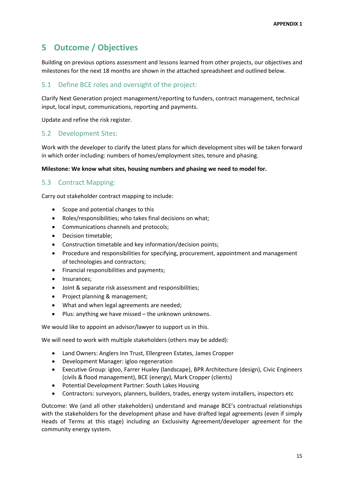# <span id="page-14-0"></span>**5 Outcome / Objectives**

Building on previous options assessment and lessons learned from other projects, our objectives and milestones for the next 18 months are shown in the attached spreadsheet and outlined below.

#### <span id="page-14-1"></span>5.1 Define BCE roles and oversight of the project:

Clarify Next Generation project management/reporting to funders, contract management, technical input, local input, communications, reporting and payments.

Update and refine the risk register.

#### <span id="page-14-2"></span>5.2 Development Sites:

Work with the developer to clarify the latest plans for which development sites will be taken forward in which order including: numbers of homes/employment sites, tenure and phasing.

#### **Milestone: We know what sites, housing numbers and phasing we need to model for.**

#### <span id="page-14-3"></span>5.3 Contract Mapping:

Carry out stakeholder contract mapping to include:

- Scope and potential changes to this
- Roles/responsibilities; who takes final decisions on what;
- Communications channels and protocols;
- Decision timetable;
- Construction timetable and key information/decision points;
- Procedure and responsibilities for specifying, procurement, appointment and management of technologies and contractors;
- Financial responsibilities and payments;
- Insurances;
- Joint & separate risk assessment and responsibilities;
- Project planning & management;
- What and when legal agreements are needed;
- Plus: anything we have missed the unknown unknowns.

We would like to appoint an advisor/lawyer to support us in this.

We will need to work with multiple stakeholders (others may be added):

- Land Owners: Anglers Inn Trust, Ellergreen Estates, James Cropper
- Development Manager: igloo regeneration
- Executive Group: igloo, Farrer Huxley (landscape), BPR Architecture (design), Civic Engineers (civils & flood management), BCE (energy), Mark Cropper (clients)
- Potential Development Partner: South Lakes Housing
- Contractors: surveyors, planners, builders, trades, energy system installers, inspectors etc

Outcome: We (and all other stakeholders) understand and manage BCE's contractual relationships with the stakeholders for the development phase and have drafted legal agreements (even if simply Heads of Terms at this stage) including an Exclusivity Agreement/developer agreement for the community energy system.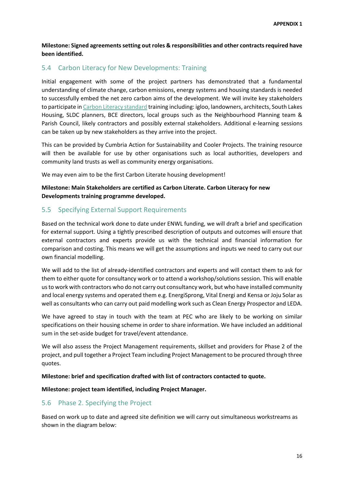**Milestone: Signed agreements setting out roles & responsibilities and other contracts required have been identified.** 

#### <span id="page-15-0"></span>5.4 Carbon Literacy for New Developments: Training

Initial engagement with some of the project partners has demonstrated that a fundamental understanding of climate change, carbon emissions, energy systems and housing standards is needed to successfully embed the net zero carbon aims of the development. We will invite key stakeholders to participate i[n Carbon Literacy standard](https://carbonliteracy.com/) training including: igloo, landowners, architects, South Lakes Housing, SLDC planners, BCE directors, local groups such as the Neighbourhood Planning team & Parish Council, likely contractors and possibly external stakeholders. Additional e-learning sessions can be taken up by new stakeholders as they arrive into the project.

This can be provided by Cumbria Action for Sustainability and Cooler Projects. The training resource will then be available for use by other organisations such as local authorities, developers and community land trusts as well as community energy organisations.

We may even aim to be the first Carbon Literate housing development!

#### **Milestone: Main Stakeholders are certified as Carbon Literate. Carbon Literacy for new Developments training programme developed.**

#### <span id="page-15-1"></span>5.5 Specifying External Support Requirements

Based on the technical work done to date under ENWL funding, we will draft a brief and specification for external support. Using a tightly prescribed description of outputs and outcomes will ensure that external contractors and experts provide us with the technical and financial information for comparison and costing. This means we will get the assumptions and inputs we need to carry out our own financial modelling.

We will add to the list of already-identified contractors and experts and will contact them to ask for them to either quote for consultancy work or to attend a workshop/solutions session. This will enable us to work with contractors who do not carry out consultancy work, but who have installed community and local energy systems and operated them e.g. EnergiSprong, Vital Energi and Kensa or Joju Solar as well as consultants who can carry out paid modelling work such as Clean Energy Prospector and LEDA.

We have agreed to stay in touch with the team at PEC who are likely to be working on similar specifications on their housing scheme in order to share information. We have included an additional sum in the set-aside budget for travel/event attendance.

We will also assess the Project Management requirements, skillset and providers for Phase 2 of the project, and pull together a Project Team including Project Management to be procured through three quotes.

**Milestone: brief and specification drafted with list of contractors contacted to quote.** 

**Milestone: project team identified, including Project Manager.** 

## <span id="page-15-2"></span>5.6 Phase 2. Specifying the Project

Based on work up to date and agreed site definition we will carry out simultaneous workstreams as shown in the diagram below: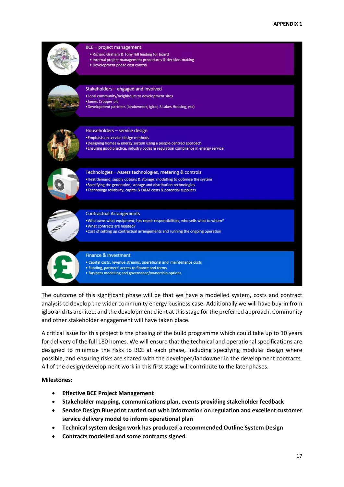

The outcome of this significant phase will be that we have a modelled system, costs and contract analysis to develop the wider community energy business case. Additionally we will have buy-in from igloo and its architect and the development client at this stage for the preferred approach. Community and other stakeholder engagement will have taken place.

A critical issue for this project is the phasing of the build programme which could take up to 10 years for delivery of the full 180 homes. We will ensure that the technical and operational specifications are designed to minimize the risks to BCE at each phase, including specifying modular design where possible, and ensuring risks are shared with the developer/landowner in the development contracts. All of the design/development work in this first stage will contribute to the later phases.

#### **Milestones:**

- **Effective BCE Project Management**
- **Stakeholder mapping, communications plan, events providing stakeholder feedback**
- **Service Design Blueprint carried out with information on regulation and excellent customer service delivery model to inform operational plan**
- **Technical system design work has produced a recommended Outline System Design**
- **Contracts modelled and some contracts signed**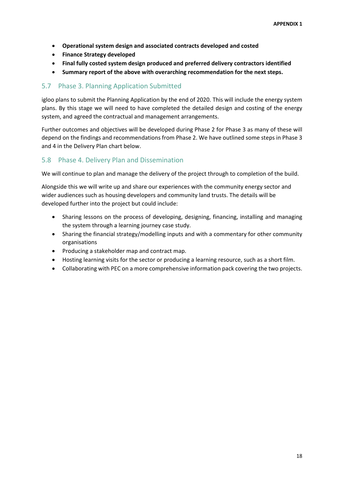- **Operational system design and associated contracts developed and costed**
- **Finance Strategy developed**
- **Final fully costed system design produced and preferred delivery contractors identified**
- **Summary report of the above with overarching recommendation for the next steps.**

#### <span id="page-17-0"></span>5.7 Phase 3. Planning Application Submitted

igloo plans to submit the Planning Application by the end of 2020. This will include the energy system plans. By this stage we will need to have completed the detailed design and costing of the energy system, and agreed the contractual and management arrangements.

Further outcomes and objectives will be developed during Phase 2 for Phase 3 as many of these will depend on the findings and recommendations from Phase 2. We have outlined some steps in Phase 3 and 4 in the Delivery Plan chart below.

#### <span id="page-17-1"></span>5.8 Phase 4. Delivery Plan and Dissemination

We will continue to plan and manage the delivery of the project through to completion of the build.

Alongside this we will write up and share our experiences with the community energy sector and wider audiences such as housing developers and community land trusts. The details will be developed further into the project but could include:

- Sharing lessons on the process of developing, designing, financing, installing and managing the system through a learning journey case study.
- Sharing the financial strategy/modelling inputs and with a commentary for other community organisations
- Producing a stakeholder map and contract map.
- Hosting learning visits for the sector or producing a learning resource, such as a short film.
- Collaborating with PEC on a more comprehensive information pack covering the two projects.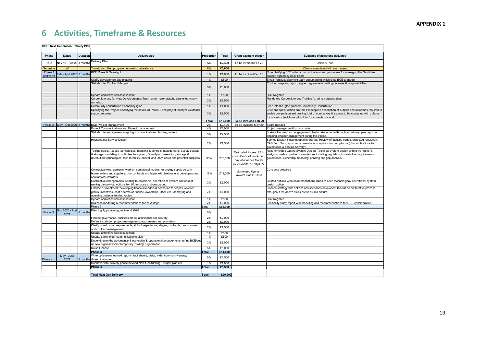# **6 Activities, Timeframe & Resources**

<span id="page-18-0"></span>

|                       | <b>BCE: Next Generation Delivery Plan</b> |          |                                                                                                                                                                                                                                                                     |              |                  |                                                                                                            |                                                                                                                                                                                                                                                      |
|-----------------------|-------------------------------------------|----------|---------------------------------------------------------------------------------------------------------------------------------------------------------------------------------------------------------------------------------------------------------------------|--------------|------------------|------------------------------------------------------------------------------------------------------------|------------------------------------------------------------------------------------------------------------------------------------------------------------------------------------------------------------------------------------------------------|
|                       |                                           |          |                                                                                                                                                                                                                                                                     |              |                  |                                                                                                            |                                                                                                                                                                                                                                                      |
| Phase                 | <b>Dates</b>                              | Duration | <b>Deliverables</b>                                                                                                                                                                                                                                                 | Proportion   | Total            | <b>Grant payment trigger</b>                                                                               | Evidence of milestone delivered                                                                                                                                                                                                                      |
| R&D                   | Nov 19 - Feb 20 3 months                  |          | Delivery Plan                                                                                                                                                                                                                                                       | n/a          | £2,400           | To be invoiced Feb 20                                                                                      | Delivery Plan                                                                                                                                                                                                                                        |
| Set aside             | all                                       |          | Travel, Next Gen programme meeting attendance                                                                                                                                                                                                                       | 6%           | £6,000           |                                                                                                            | Claims associated with each event                                                                                                                                                                                                                    |
| Phase 1<br>(delivery) | Feb - April 2020 3 month:                 |          | <b>BCE Roles &amp; Oversight</b>                                                                                                                                                                                                                                    | 1%           | £1,000           | To be invoiced Feb 20                                                                                      | Vote clarifying BCE roles, communications and processes for managing the Next Gen<br>project; agreed by BCE board                                                                                                                                    |
|                       |                                           |          | Clarify development site phasing                                                                                                                                                                                                                                    | 1%           | £500             |                                                                                                            | Email from Development team documenting which sites BCE to model                                                                                                                                                                                     |
|                       |                                           |          | Stakeholder Contract Mapping                                                                                                                                                                                                                                        | 3%           | £3,000           |                                                                                                            | Contract mapping report; signed agreements setting out roles & responsibilities                                                                                                                                                                      |
|                       |                                           |          | Update and refine risk assessment                                                                                                                                                                                                                                   | 1%           | £500             |                                                                                                            | <b>Risk Register</b>                                                                                                                                                                                                                                 |
|                       |                                           |          | Carbon Literacy for New Developments: Training for major stakeholders e-learning +<br>workshop                                                                                                                                                                      | 2%           | £1,500           |                                                                                                            | Mandatory Carbon Literacy Training for all key stakeholders                                                                                                                                                                                          |
|                       |                                           |          | Community consultation planned by igloo                                                                                                                                                                                                                             | 1%           | £1,000           |                                                                                                            | Feed into the igloo planned Community Consultation                                                                                                                                                                                                   |
|                       |                                           |          | Specifying the Project: specifying the details of Phase 2 and project team(PT) /external<br>support required                                                                                                                                                        | 3%           | £2,500           |                                                                                                            | Brief and specification drafted. Prescriptive description of outputs and outcomes required to<br>enable comparison and costing. List of contractors & experts to be contacted with options<br>or workshop/solutions pitch &/or for consultancy work. |
|                       |                                           |          |                                                                                                                                                                                                                                                                     | Total        | £10,000          | To be invoiced Feb 20                                                                                      |                                                                                                                                                                                                                                                      |
|                       |                                           |          | Phase 2   May - Oct 2020   6 months BCE Project Management                                                                                                                                                                                                          | 2%           | £2,400           | To be invoiced May 20 Board minutes                                                                        |                                                                                                                                                                                                                                                      |
|                       |                                           |          | Project Communications and Project management                                                                                                                                                                                                                       | 4%           | £4,000           |                                                                                                            | Project management/comms notes                                                                                                                                                                                                                       |
|                       |                                           |          | Stakeholder engagement mapping, communications planning, events                                                                                                                                                                                                     | 3%           | £2,500           |                                                                                                            | Stakeholder map and engagement plan to take scheme through to delivery; plus report on<br>ongoing s/holder engagement during this Phase.                                                                                                             |
|                       |                                           |          | Householder Service Design                                                                                                                                                                                                                                          | 2%           | £1,500           |                                                                                                            | Service Design Blueprint options drafted; Review of industry codes, expected regulation,<br>CAB Zero Sum report recommendations, options for compliance (plus implications for<br>governance & service delivery)                                     |
|                       |                                           |          | Technologies: Assess technologies, metering & controls: heat demand, supply options<br>& storage, modelling to optimise the system; Specifying generation, storage &<br>distribution technologies; tech reliability, capital and O&M costs and potential suppliers. | 30%          | £30,000          | Estimated figures: £21k<br>consultants x3, workshop,<br>day attendance fee for<br>four experts, 10 days PT | Recommended Outline System Design: Technical system design with further options<br>analysis overlaying other known issues including regulation, householder requirements,<br>jovernance, ownership, financing, phasing and gap analysis.             |
|                       |                                           |          | Contractual Arrangements: work on contractual models for energy supply co with<br>householders and suppliers; plus contracts and legals with landowners/ developers and<br>contractors/installers                                                                   | 12%          | £12,000          | Estimated figures:<br>lawyers plus PT time                                                                 | Contracts prepared                                                                                                                                                                                                                                   |
|                       |                                           |          | Contractual Arrangements: relating to ownership, operation of system and cost of<br>running the service; options for JV, in-house and outsourced.                                                                                                                   | 2%           | £2,000           |                                                                                                            | Costed options with recommendations linked to each technological/ operational system<br>lesian option.                                                                                                                                               |
|                       |                                           |          | Finance & Investment: developing financial models & scenarios for capex, revenue,<br>grants, incentives, cost & terms of finance, ownership, O&M etc. Identifying and<br>agreeing potential funding routes.                                                         | 7%           | £7,000           |                                                                                                            | Finance strategy with options and scenarios developed: this will be an iterative process<br>throughout the above steps as we build a picture.                                                                                                        |
|                       |                                           |          | Update and refine risk assessment                                                                                                                                                                                                                                   | 1%           | £500             |                                                                                                            | <b>Risk Register</b>                                                                                                                                                                                                                                 |
|                       |                                           |          | Business modelling & recommendations for next steps                                                                                                                                                                                                                 | 2%           | £2,000           |                                                                                                            | Feasibility study report with modelling and recommendations for BCE consideration                                                                                                                                                                    |
|                       | Nov 2020 - April                          |          | Phase 2<br>Planning Application goes in end 2020                                                                                                                                                                                                                    | Total        | £63,900          |                                                                                                            |                                                                                                                                                                                                                                                      |
| Phase 3               | 2021                                      | 6 months |                                                                                                                                                                                                                                                                     | 0%           |                  |                                                                                                            |                                                                                                                                                                                                                                                      |
|                       |                                           |          | Finalise governance, business model and finance for delivery<br>Define installation project management requirements and providers                                                                                                                                   | 2%<br>2%     | £2,000<br>£2,000 |                                                                                                            |                                                                                                                                                                                                                                                      |
|                       |                                           |          | Clarify construction requirements, skills & experience, stages, contracts, procurement                                                                                                                                                                              |              |                  |                                                                                                            |                                                                                                                                                                                                                                                      |
|                       |                                           |          | and contract management                                                                                                                                                                                                                                             | 2%           | £1,500           |                                                                                                            |                                                                                                                                                                                                                                                      |
|                       |                                           |          | Jpdate and refine risk assessment                                                                                                                                                                                                                                   | 1%           | £500             |                                                                                                            |                                                                                                                                                                                                                                                      |
|                       |                                           |          | Update stakeholder communications plan                                                                                                                                                                                                                              | 1%           | £500             |                                                                                                            |                                                                                                                                                                                                                                                      |
|                       |                                           |          | Depending on the governance & ownership & operational arrangements: refine BCE/set<br>up new organisation/or temporary 'holding' organisation.                                                                                                                      | 3%           | £3,000           |                                                                                                            |                                                                                                                                                                                                                                                      |
|                       |                                           |          | Raise Finance                                                                                                                                                                                                                                                       | 5%           | £5,000           |                                                                                                            |                                                                                                                                                                                                                                                      |
|                       |                                           |          | Phase 3                                                                                                                                                                                                                                                             | Total        | £14,500          |                                                                                                            |                                                                                                                                                                                                                                                      |
| Phase 4               | May - June<br>2021                        |          | Write up lessons learned reports, fact sheets, visits, wider community energy<br>3 months dissemination etc                                                                                                                                                         | 5%           | £4,500           |                                                                                                            |                                                                                                                                                                                                                                                      |
|                       |                                           |          | Handover into delivery phase beyond Next Gen funding - project plan etc.                                                                                                                                                                                            | 1%           | £1,000           |                                                                                                            |                                                                                                                                                                                                                                                      |
|                       |                                           |          | Phase 4                                                                                                                                                                                                                                                             | Total        | £5,500           |                                                                                                            |                                                                                                                                                                                                                                                      |
|                       |                                           |          |                                                                                                                                                                                                                                                                     |              |                  |                                                                                                            |                                                                                                                                                                                                                                                      |
|                       |                                           |          | <b>Total Next Gen Delivery</b>                                                                                                                                                                                                                                      | <b>Total</b> | £99,900          |                                                                                                            |                                                                                                                                                                                                                                                      |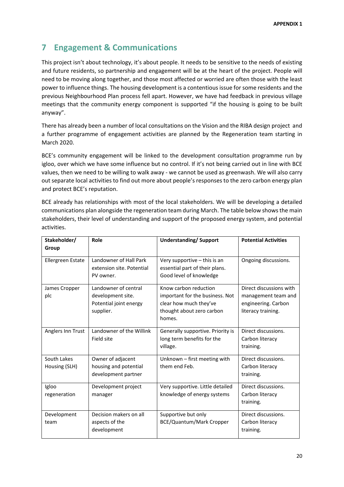# <span id="page-19-0"></span>**7 Engagement & Communications**

This project isn't about technology, it's about people. It needs to be sensitive to the needs of existing and future residents, so partnership and engagement will be at the heart of the project. People will need to be moving along together, and those most affected or worried are often those with the least power to influence things. The housing development is a contentious issue for some residents and the previous Neighbourhood Plan process fell apart. However, we have had feedback in previous village meetings that the community energy component is supported "if the housing is going to be built anyway".

There has already been a number of local consultations on the Vision and the RIBA design project and a further programme of engagement activities are planned by the Regeneration team starting in March 2020.

BCE's community engagement will be linked to the development consultation programme run by igloo, over which we have some influence but no control. If it's not being carried out in line with BCE values, then we need to be willing to walk away - we cannot be used as greenwash. We will also carry out separate local activities to find out more about people's responses to the zero carbon energy plan and protect BCE's reputation.

BCE already has relationships with most of the local stakeholders. We will be developing a detailed communications plan alongside the regeneration team during March. The table below shows the main stakeholders, their level of understanding and support of the proposed energy system, and potential activities.

| Stakeholder/                 | Role                                                                             | <b>Understanding/ Support</b>                                                                                             | <b>Potential Activities</b>                                                                 |  |
|------------------------------|----------------------------------------------------------------------------------|---------------------------------------------------------------------------------------------------------------------------|---------------------------------------------------------------------------------------------|--|
| Group                        |                                                                                  |                                                                                                                           |                                                                                             |  |
| Ellergreen Estate            | Landowner of Hall Park<br>extension site. Potential<br>PV owner.                 | Very supportive - this is an<br>essential part of their plans.<br>Good level of knowledge                                 | Ongoing discussions.                                                                        |  |
| James Cropper<br>plc         | Landowner of central<br>development site.<br>Potential joint energy<br>supplier. | Know carbon reduction<br>important for the business. Not<br>clear how much they've<br>thought about zero carbon<br>homes. | Direct discussions with<br>management team and<br>engineering. Carbon<br>literacy training. |  |
| Anglers Inn Trust            | Landowner of the Willink<br>Field site                                           | Generally supportive. Priority is<br>long term benefits for the<br>village.                                               | Direct discussions.<br>Carbon literacy<br>training.                                         |  |
| South Lakes<br>Housing (SLH) | Owner of adjacent<br>housing and potential<br>development partner                | Unknown - first meeting with<br>them end Feb.                                                                             | Direct discussions.<br>Carbon literacy<br>training.                                         |  |
| Igloo<br>regeneration        | Development project<br>manager                                                   | Very supportive. Little detailed<br>knowledge of energy systems                                                           | Direct discussions.<br>Carbon literacy<br>training.                                         |  |
| Development<br>team          | Decision makers on all<br>aspects of the<br>development                          | Supportive but only<br>BCE/Quantum/Mark Cropper                                                                           | Direct discussions.<br>Carbon literacy<br>training.                                         |  |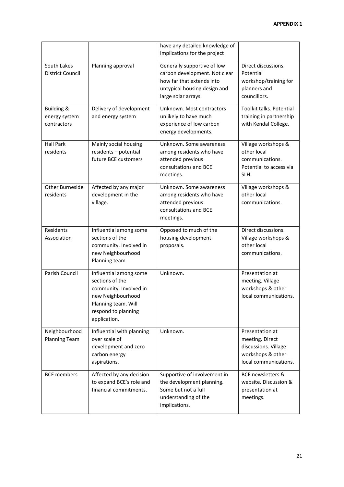|                                                       |                                                                                                                                                        | have any detailed knowledge of<br>implications for the project                                                                                   |                                                                                                          |
|-------------------------------------------------------|--------------------------------------------------------------------------------------------------------------------------------------------------------|--------------------------------------------------------------------------------------------------------------------------------------------------|----------------------------------------------------------------------------------------------------------|
| South Lakes<br><b>District Council</b>                | Planning approval                                                                                                                                      | Generally supportive of low<br>carbon development. Not clear<br>how far that extends into<br>untypical housing design and<br>large solar arrays. | Direct discussions.<br>Potential<br>workshop/training for<br>planners and<br>councillors.                |
| <b>Building &amp;</b><br>energy system<br>contractors | Delivery of development<br>and energy system                                                                                                           | Unknown. Most contractors<br>unlikely to have much<br>experience of low carbon<br>energy developments.                                           | Toolkit talks. Potential<br>training in partnership<br>with Kendal College.                              |
| <b>Hall Park</b><br>residents                         | Mainly social housing<br>residents - potential<br>future BCE customers                                                                                 | Unknown. Some awareness<br>among residents who have<br>attended previous<br>consultations and BCE<br>meetings.                                   | Village workshops &<br>other local<br>communications.<br>Potential to access via<br>SLH.                 |
| Other Burneside<br>residents                          | Affected by any major<br>development in the<br>village.                                                                                                | Unknown. Some awareness<br>among residents who have<br>attended previous<br>consultations and BCE<br>meetings.                                   | Village workshops &<br>other local<br>communications.                                                    |
| Residents<br>Association                              | Influential among some<br>sections of the<br>community. Involved in<br>new Neighbourhood<br>Planning team.                                             | Opposed to much of the<br>housing development<br>proposals.                                                                                      | Direct discussions.<br>Village workshops &<br>other local<br>communications.                             |
| Parish Council                                        | Influential among some<br>sections of the<br>community. Involved in<br>new Neighbourhood<br>Planning team. Will<br>respond to planning<br>application. | Unknown.                                                                                                                                         | Presentation at<br>meeting. Village<br>workshops & other<br>local communications.                        |
| Neighbourhood<br><b>Planning Team</b>                 | Influential with planning<br>over scale of<br>development and zero<br>carbon energy<br>aspirations.                                                    | Unknown.                                                                                                                                         | Presentation at<br>meeting. Direct<br>discussions. Village<br>workshops & other<br>local communications. |
| <b>BCE</b> members                                    | Affected by any decision<br>to expand BCE's role and<br>financial commitments.                                                                         | Supportive of involvement in<br>the development planning.<br>Some but not a full<br>understanding of the<br>implications.                        | <b>BCE newsletters &amp;</b><br>website. Discussion &<br>presentation at<br>meetings.                    |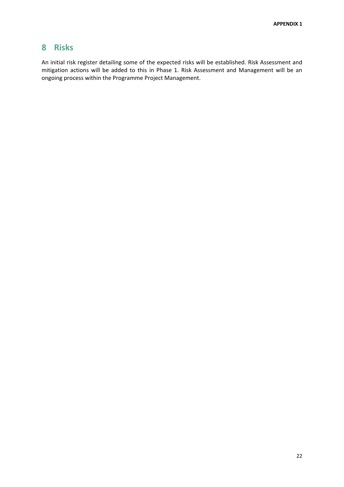# <span id="page-21-0"></span>**8 Risks**

An initial risk register detailing some of the expected risks will be established. Risk Assessment and mitigation actions will be added to this in Phase 1. Risk Assessment and Management will be an ongoing process within the Programme Project Management.